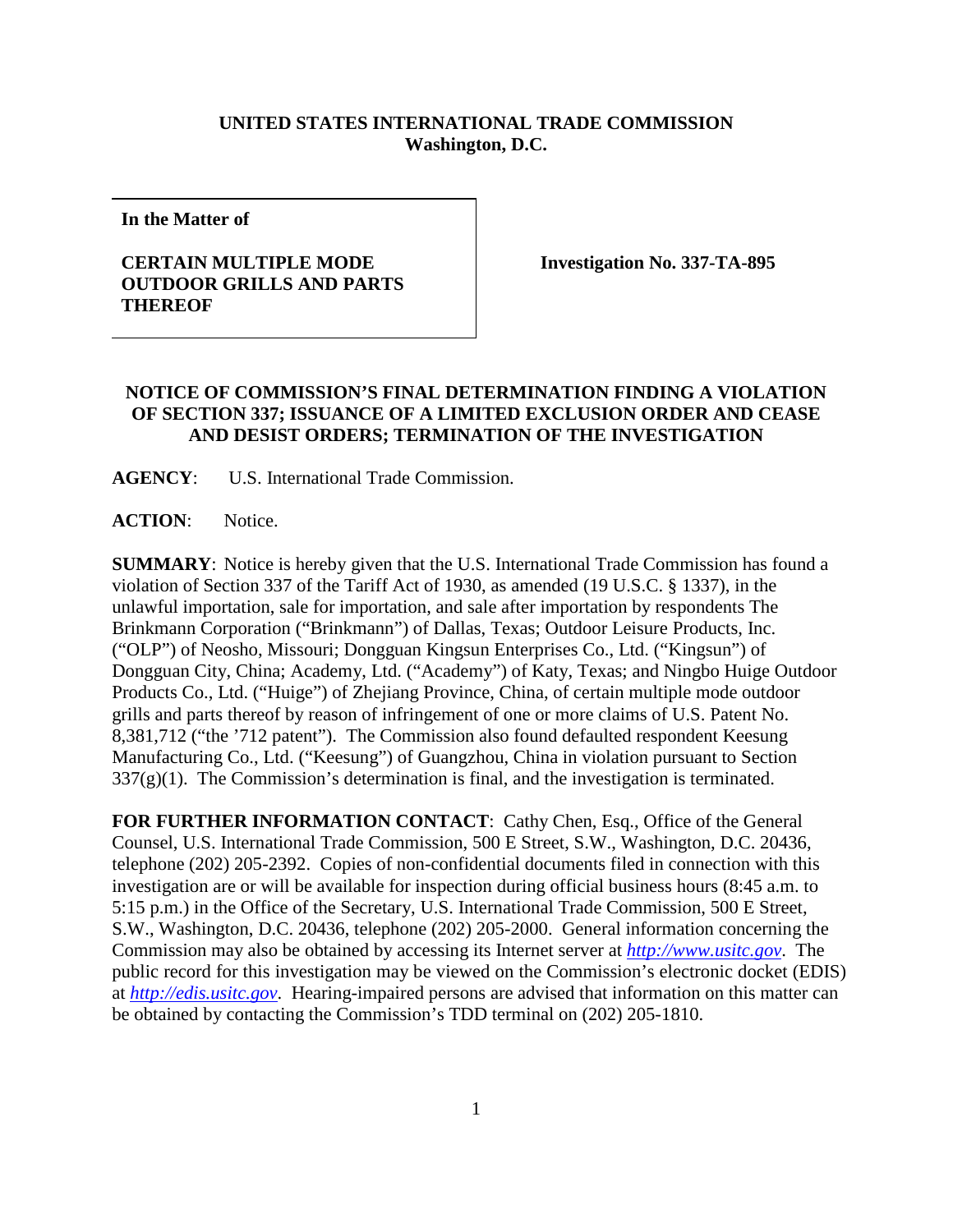## **UNITED STATES INTERNATIONAL TRADE COMMISSION Washington, D.C.**

**In the Matter of**

## **CERTAIN MULTIPLE MODE OUTDOOR GRILLS AND PARTS THEREOF**

**Investigation No. 337-TA-895**

## **NOTICE OF COMMISSION'S FINAL DETERMINATION FINDING A VIOLATION OF SECTION 337; ISSUANCE OF A LIMITED EXCLUSION ORDER AND CEASE AND DESIST ORDERS; TERMINATION OF THE INVESTIGATION**

**AGENCY**: U.S. International Trade Commission.

**ACTION**: Notice.

**SUMMARY**: Notice is hereby given that the U.S. International Trade Commission has found a violation of Section 337 of the Tariff Act of 1930, as amended (19 U.S.C. § 1337), in the unlawful importation, sale for importation, and sale after importation by respondents The Brinkmann Corporation ("Brinkmann") of Dallas, Texas; Outdoor Leisure Products, Inc. ("OLP") of Neosho, Missouri; Dongguan Kingsun Enterprises Co., Ltd. ("Kingsun") of Dongguan City, China; Academy, Ltd. ("Academy") of Katy, Texas; and Ningbo Huige Outdoor Products Co., Ltd. ("Huige") of Zhejiang Province, China, of certain multiple mode outdoor grills and parts thereof by reason of infringement of one or more claims of U.S. Patent No. 8,381,712 ("the '712 patent"). The Commission also found defaulted respondent Keesung Manufacturing Co., Ltd. ("Keesung") of Guangzhou, China in violation pursuant to Section  $337(g)(1)$ . The Commission's determination is final, and the investigation is terminated.

FOR FURTHER INFORMATION CONTACT: Cathy Chen, Esq., Office of the General Counsel, U.S. International Trade Commission, 500 E Street, S.W., Washington, D.C. 20436, telephone (202) 205-2392. Copies of non-confidential documents filed in connection with this investigation are or will be available for inspection during official business hours (8:45 a.m. to 5:15 p.m.) in the Office of the Secretary, U.S. International Trade Commission, 500 E Street, S.W., Washington, D.C. 20436, telephone (202) 205-2000. General information concerning the Commission may also be obtained by accessing its Internet server at *[http://www.usitc.gov](http://www.usitc.gov/)*. The public record for this investigation may be viewed on the Commission's electronic docket (EDIS) at *[http://edis.usitc.gov](http://edis.usitc.gov/)*. Hearing-impaired persons are advised that information on this matter can be obtained by contacting the Commission's TDD terminal on (202) 205-1810.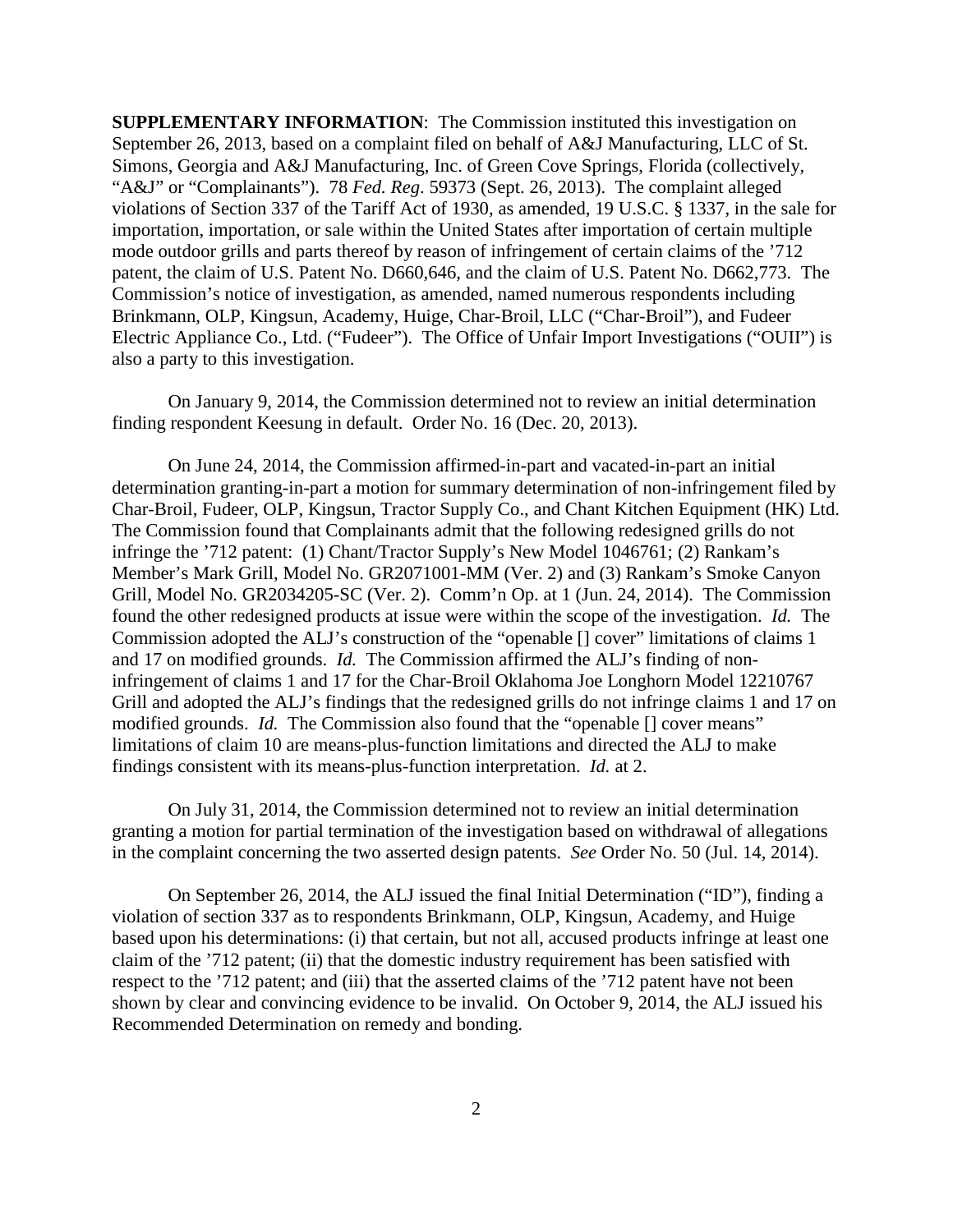**SUPPLEMENTARY INFORMATION:** The Commission instituted this investigation on September 26, 2013, based on a complaint filed on behalf of A&J Manufacturing, LLC of St. Simons, Georgia and A&J Manufacturing, Inc. of Green Cove Springs, Florida (collectively, "A&J" or "Complainants"). 78 *Fed. Reg*. 59373 (Sept. 26, 2013). The complaint alleged violations of Section 337 of the Tariff Act of 1930, as amended, 19 U.S.C. § 1337, in the sale for importation, importation, or sale within the United States after importation of certain multiple mode outdoor grills and parts thereof by reason of infringement of certain claims of the '712 patent, the claim of U.S. Patent No. D660,646, and the claim of U.S. Patent No. D662,773. The Commission's notice of investigation, as amended, named numerous respondents including Brinkmann, OLP, Kingsun, Academy, Huige, Char-Broil, LLC ("Char-Broil"), and Fudeer Electric Appliance Co., Ltd. ("Fudeer"). The Office of Unfair Import Investigations ("OUII") is also a party to this investigation.

On January 9, 2014, the Commission determined not to review an initial determination finding respondent Keesung in default. Order No. 16 (Dec. 20, 2013).

On June 24, 2014, the Commission affirmed-in-part and vacated-in-part an initial determination granting-in-part a motion for summary determination of non-infringement filed by Char-Broil, Fudeer, OLP, Kingsun, Tractor Supply Co., and Chant Kitchen Equipment (HK) Ltd. The Commission found that Complainants admit that the following redesigned grills do not infringe the '712 patent: (1) Chant/Tractor Supply's New Model 1046761; (2) Rankam's Member's Mark Grill, Model No. GR2071001-MM (Ver. 2) and (3) Rankam's Smoke Canyon Grill, Model No. GR2034205-SC (Ver. 2). Comm'n Op. at 1 (Jun. 24, 2014). The Commission found the other redesigned products at issue were within the scope of the investigation. *Id.* The Commission adopted the ALJ's construction of the "openable [] cover" limitations of claims 1 and 17 on modified grounds. *Id.* The Commission affirmed the ALJ's finding of noninfringement of claims 1 and 17 for the Char-Broil Oklahoma Joe Longhorn Model 12210767 Grill and adopted the ALJ's findings that the redesigned grills do not infringe claims 1 and 17 on modified grounds. *Id.* The Commission also found that the "openable [] cover means" limitations of claim 10 are means-plus-function limitations and directed the ALJ to make findings consistent with its means-plus-function interpretation. *Id.* at 2.

On July 31, 2014, the Commission determined not to review an initial determination granting a motion for partial termination of the investigation based on withdrawal of allegations in the complaint concerning the two asserted design patents. *See* Order No. 50 (Jul. 14, 2014).

On September 26, 2014, the ALJ issued the final Initial Determination ("ID"), finding a violation of section 337 as to respondents Brinkmann, OLP, Kingsun, Academy, and Huige based upon his determinations: (i) that certain, but not all, accused products infringe at least one claim of the '712 patent; (ii) that the domestic industry requirement has been satisfied with respect to the '712 patent; and (iii) that the asserted claims of the '712 patent have not been shown by clear and convincing evidence to be invalid. On October 9, 2014, the ALJ issued his Recommended Determination on remedy and bonding.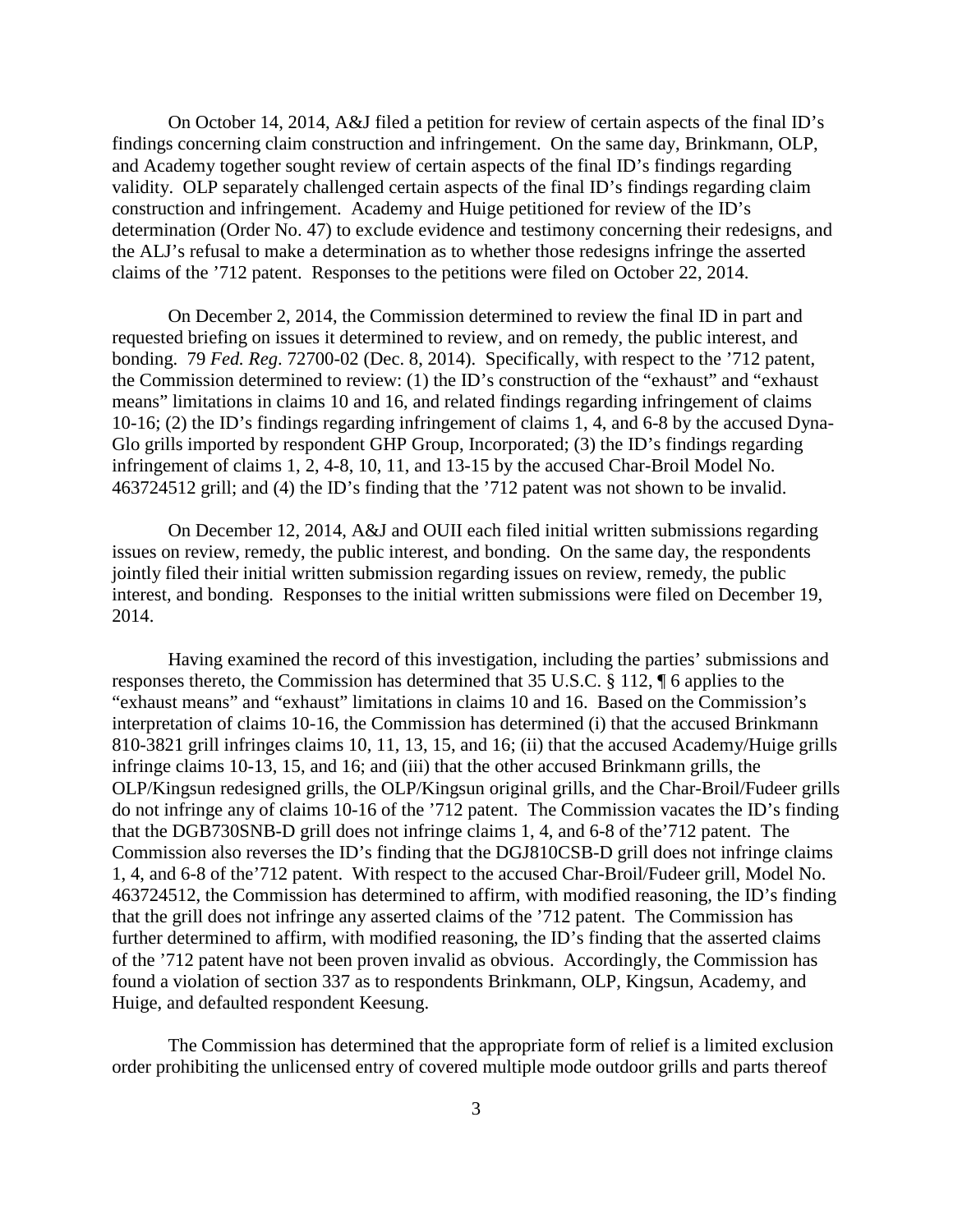On October 14, 2014, A&J filed a petition for review of certain aspects of the final ID's findings concerning claim construction and infringement. On the same day, Brinkmann, OLP, and Academy together sought review of certain aspects of the final ID's findings regarding validity. OLP separately challenged certain aspects of the final ID's findings regarding claim construction and infringement. Academy and Huige petitioned for review of the ID's determination (Order No. 47) to exclude evidence and testimony concerning their redesigns, and the ALJ's refusal to make a determination as to whether those redesigns infringe the asserted claims of the '712 patent. Responses to the petitions were filed on October 22, 2014.

On December 2, 2014, the Commission determined to review the final ID in part and requested briefing on issues it determined to review, and on remedy, the public interest, and bonding. 79 *Fed. Reg*. 72700-02 (Dec. 8, 2014). Specifically, with respect to the '712 patent, the Commission determined to review: (1) the ID's construction of the "exhaust" and "exhaust means" limitations in claims 10 and 16, and related findings regarding infringement of claims 10-16; (2) the ID's findings regarding infringement of claims 1, 4, and 6-8 by the accused Dyna-Glo grills imported by respondent GHP Group, Incorporated; (3) the ID's findings regarding infringement of claims 1, 2, 4-8, 10, 11, and 13-15 by the accused Char-Broil Model No. 463724512 grill; and (4) the ID's finding that the '712 patent was not shown to be invalid.

On December 12, 2014, A&J and OUII each filed initial written submissions regarding issues on review, remedy, the public interest, and bonding. On the same day, the respondents jointly filed their initial written submission regarding issues on review, remedy, the public interest, and bonding. Responses to the initial written submissions were filed on December 19, 2014.

Having examined the record of this investigation, including the parties' submissions and responses thereto, the Commission has determined that 35 U.S.C. § 112, ¶ 6 applies to the "exhaust means" and "exhaust" limitations in claims 10 and 16. Based on the Commission's interpretation of claims 10-16, the Commission has determined (i) that the accused Brinkmann 810-3821 grill infringes claims 10, 11, 13, 15, and 16; (ii) that the accused Academy/Huige grills infringe claims 10-13, 15, and 16; and (iii) that the other accused Brinkmann grills, the OLP/Kingsun redesigned grills, the OLP/Kingsun original grills, and the Char-Broil/Fudeer grills do not infringe any of claims 10-16 of the '712 patent. The Commission vacates the ID's finding that the DGB730SNB-D grill does not infringe claims 1, 4, and 6-8 of the'712 patent. The Commission also reverses the ID's finding that the DGJ810CSB-D grill does not infringe claims 1, 4, and 6-8 of the'712 patent. With respect to the accused Char-Broil/Fudeer grill, Model No. 463724512, the Commission has determined to affirm, with modified reasoning, the ID's finding that the grill does not infringe any asserted claims of the '712 patent. The Commission has further determined to affirm, with modified reasoning, the ID's finding that the asserted claims of the '712 patent have not been proven invalid as obvious. Accordingly, the Commission has found a violation of section 337 as to respondents Brinkmann, OLP, Kingsun, Academy, and Huige, and defaulted respondent Keesung.

The Commission has determined that the appropriate form of relief is a limited exclusion order prohibiting the unlicensed entry of covered multiple mode outdoor grills and parts thereof